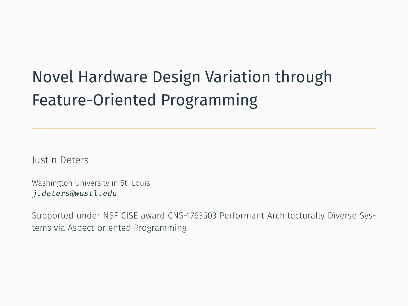# Novel Hardware Design Variation through Feature-Oriented Programming

Justin Deters

Washington University in St. Louis *j.deters@wustl.edu*

Supported under NSF CISE award CNS-1763503 Performant Architecturally Diverse Systems via Aspect-oriented Programming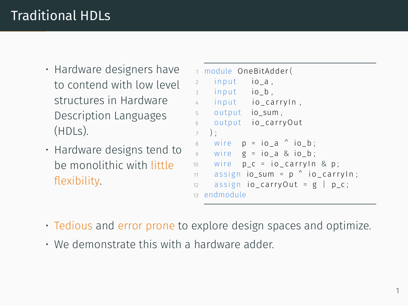## Traditional HDLs

- Hardware designers have to contend with low level structures in Hardware Description Languages (HDLs).
- Hardware designs tend to be monolithic with little flexibility.

```
1 module OneBitAdder (
2 input io_a,
3 input io b .
4 input io carryIn,
5 output io_sum,
6 output io carryOut
7 ) \cdot8 wire p = i\sigma a \wedge i\sigma b;
9 wire g = io a & io b;
10 wire p_c = i \cdot c_a carry In & p;
11 assign io_sum = p^{\wedge} io_carry ln;
12 assign io carry Out = g | p_c;
13 endmodule
```
- Tedious and error prone to explore design spaces and optimize.
- We demonstrate this with a hardware adder.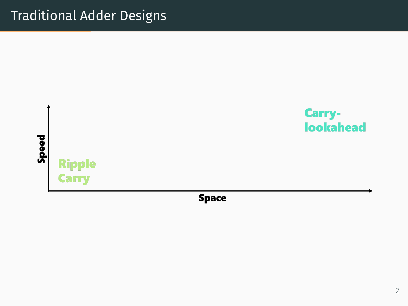### Traditional Adder Designs



**Space**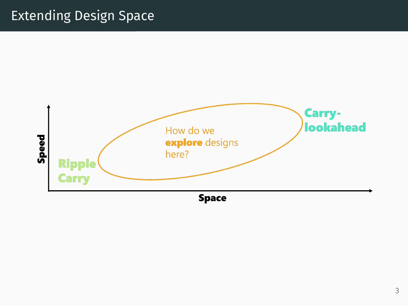## Extending Design Space

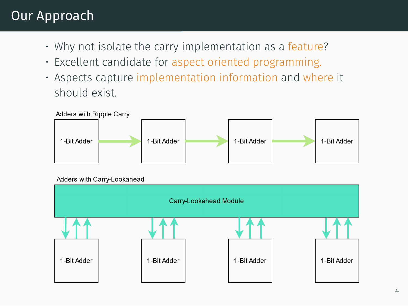#### Our Approach

- Why not isolate the carry implementation as a feature?
- Excellent candidate for aspect oriented programming.
- Aspects capture implementation information and where it should exist.

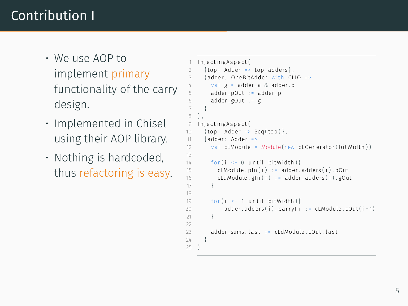## Contribution I

- We use AOP to implement primary functionality of the carry design.
- Implemented in Chisel using their AOP library.
- Nothing is hardcoded, thus refactoring is easy.

```
1 IniectingAspect(
 2 {top: Adder => top.adders},<br>3 {adder: OneRitAdder with Cl
      3 { adder : OneBitAdder wi th CLIO =>
        val g = adder.a 8 adder.b5 adder . pOut := adder . p
6 adder . gOut : = g
 7 }
8 ) ,
   I n j e c t i n g A s p e c t (
10 \{top: Adder \Rightarrow Seq(top)\}11 { adder : Adder =>
12 val cLModule = Module (new cLGenerator (bitWidth))
13 + 14for (i \leq 0 \text{ until } bitWidth)15 cLModule . pin (i) := adder . adders (i) . pOut
16 cLdModule.gIn(i) := adder.adders(i).gOut
17 }
18
19 for (i <- 1 until bitWidth) {
20 adder adders(i) carryIn := cLModule cOut(i-1)
2122
23 adder sums last := cLdModule cOut last
24 }
25 )
```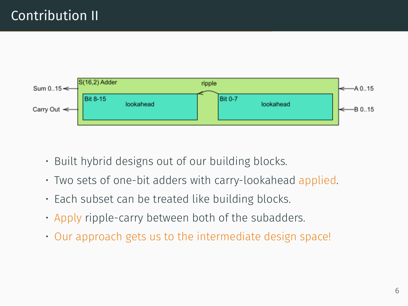

- Built hybrid designs out of our building blocks.
- Two sets of one-bit adders with carry-lookahead applied.
- Each subset can be treated like building blocks.
- Apply ripple-carry between both of the subadders.
- Our approach gets us to the intermediate design space!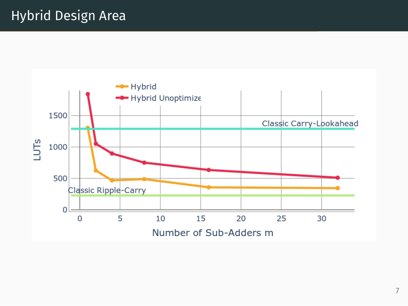## Hybrid Design Area

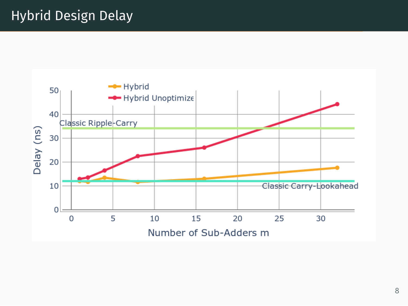## Hybrid Design Delay